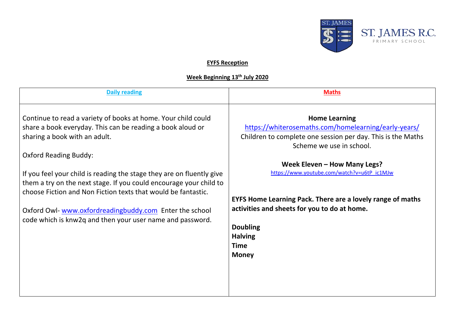

## **EYFS Reception**

## **Week Beginning 13th July 2020**

| <b>Daily reading</b>                                                                                                                                                                                                                                                                                                                                                                                                                                                                                                                | <b>Maths</b>                                                                                                                                                                                                                                                                                                                                                                                                                             |
|-------------------------------------------------------------------------------------------------------------------------------------------------------------------------------------------------------------------------------------------------------------------------------------------------------------------------------------------------------------------------------------------------------------------------------------------------------------------------------------------------------------------------------------|------------------------------------------------------------------------------------------------------------------------------------------------------------------------------------------------------------------------------------------------------------------------------------------------------------------------------------------------------------------------------------------------------------------------------------------|
| Continue to read a variety of books at home. Your child could<br>share a book everyday. This can be reading a book aloud or<br>sharing a book with an adult.<br><b>Oxford Reading Buddy:</b><br>If you feel your child is reading the stage they are on fluently give<br>them a try on the next stage. If you could encourage your child to<br>choose Fiction and Non Fiction texts that would be fantastic.<br>Oxford Owl-www.oxfordreadingbuddy.com Enter the school<br>code which is knw2q and then your user name and password. | <b>Home Learning</b><br>https://whiterosemaths.com/homelearning/early-years/<br>Children to complete one session per day. This is the Maths<br>Scheme we use in school.<br>Week Eleven - How Many Legs?<br>https://www.youtube.com/watch?v=u6tP_ic1MJw<br>EYFS Home Learning Pack. There are a lovely range of maths<br>activities and sheets for you to do at home.<br><b>Doubling</b><br><b>Halving</b><br><b>Time</b><br><b>Money</b> |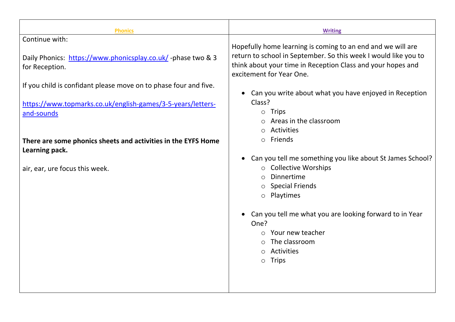| <b>Phonics</b>                                                                                                                                | <b>Writing</b>                                                                                                                                                                                                                                                                                                                                  |
|-----------------------------------------------------------------------------------------------------------------------------------------------|-------------------------------------------------------------------------------------------------------------------------------------------------------------------------------------------------------------------------------------------------------------------------------------------------------------------------------------------------|
| Continue with:                                                                                                                                |                                                                                                                                                                                                                                                                                                                                                 |
| Daily Phonics: https://www.phonicsplay.co.uk/-phase two & 3<br>for Reception.                                                                 | Hopefully home learning is coming to an end and we will are<br>return to school in September. So this week I would like you to<br>think about your time in Reception Class and your hopes and<br>excitement for Year One.                                                                                                                       |
| If you child is confidant please move on to phase four and five.<br>https://www.topmarks.co.uk/english-games/3-5-years/letters-<br>and-sounds | Can you write about what you have enjoyed in Reception<br>Class?<br>$\circ$ Trips<br>Areas in the classroom                                                                                                                                                                                                                                     |
|                                                                                                                                               | Activities<br>$\circ$                                                                                                                                                                                                                                                                                                                           |
| There are some phonics sheets and activities in the EYFS Home<br>Learning pack.                                                               | Friends<br>$\circ$                                                                                                                                                                                                                                                                                                                              |
| air, ear, ure focus this week.                                                                                                                | Can you tell me something you like about St James School?<br>○ Collective Worships<br>Dinnertime<br>$\bigcirc$<br><b>Special Friends</b><br>$\circ$<br>o Playtimes<br>Can you tell me what you are looking forward to in Year<br>One?<br>Your new teacher<br>$\circ$<br>The classroom<br>Activities<br>$\bigcirc$<br><b>Trips</b><br>$\bigcirc$ |